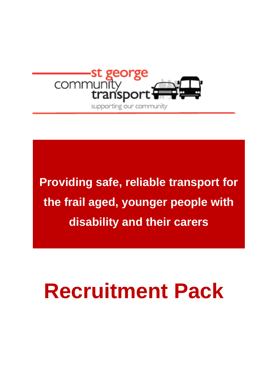

**Providing safe, reliable transport for the frail aged, younger people with disability and their carers**

# **Recruitment Pack**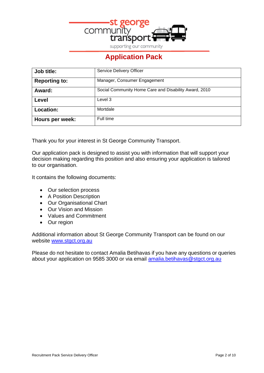

supporting our community

# **Application Pack**

| Job title:           | <b>Service Delivery Officer</b>                       |
|----------------------|-------------------------------------------------------|
| <b>Reporting to:</b> | Manager, Consumer Engagement                          |
| Award:               | Social Community Home Care and Disability Award, 2010 |
| Level                | Level 3                                               |
| Location:            | Mortdale                                              |
| Hours per week:      | Full time                                             |

Thank you for your interest in St George Community Transport.

Our application pack is designed to assist you with information that will support your decision making regarding this position and also ensuring your application is tailored to our organisation.

It contains the following documents:

- Our selection process
- A Position Description
- Our Organisational Chart
- Our Vision and Mission
- Values and Commitment
- Our region

Additional information about St George Community Transport can be found on our website [www.stgct.org.au](http://www.stgct.org.au/)

Please do not hesitate to contact Amalia Betihavas if you have any questions or queries about your application on 9585 3000 or via email [amalia.betihavas@stgct.org.au](mailto:amalia.betihavas@stgct.org.au)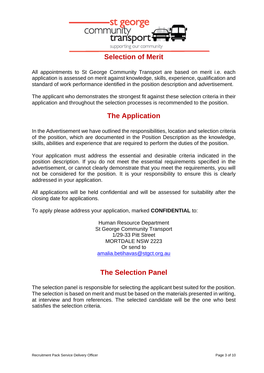

## **Selection of Merit**

All appointments to St George Community Transport are based on merit i.e. each application is assessed on merit against knowledge, skills, experience, qualification and standard of work performance identified in the position description and advertisement.

The applicant who demonstrates the strongest fit against these selection criteria in their application and throughout the selection processes is recommended to the position.

## **The Application**

In the Advertisement we have outlined the responsibilities, location and selection criteria of the position, which are documented in the Position Description as the knowledge, skills, abilities and experience that are required to perform the duties of the position.

Your application must address the essential and desirable criteria indicated in the position description. If you do not meet the essential requirements specified in the advertisement, or cannot clearly demonstrate that you meet the requirements, you will not be considered for the position. It is your responsibility to ensure this is clearly addressed in your application.

All applications will be held confidential and will be assessed for suitability after the closing date for applications.

To apply please address your application, marked **CONFIDENTIAL** to:

Human Resource Department St George Community Transport 1/29-33 Pitt Street MORTDALE NSW 2223 Or send to [amalia.betihavas@stgct.org.au](mailto:amalia.betihavas@stgct.org.au)

## **The Selection Panel**

The selection panel is responsible for selecting the applicant best suited for the position. The selection is based on merit and must be based on the materials presented in writing, at interview and from references. The selected candidate will be the one who best satisfies the selection criteria.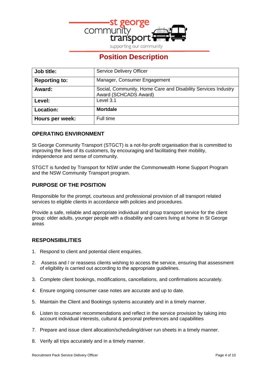

supporting our community

## **Position Description**

| Job title:           | <b>Service Delivery Officer</b>                                                        |
|----------------------|----------------------------------------------------------------------------------------|
| <b>Reporting to:</b> | Manager, Consumer Engagement                                                           |
| Award:               | Social, Community, Home Care and Disability Services Industry<br>Award (SCHCADS Award) |
| Level:               | Level 3.1                                                                              |
| Location:            | <b>Mortdale</b>                                                                        |
| Hours per week:      | Full time                                                                              |

## **OPERATING ENVIRONMENT**

St George Community Transport (STGCT) is a not-for-profit organisation that is committed to improving the lives of its customers, by encouraging and facilitating their mobility, independence and sense of community.

STGCT is funded by Transport for NSW under the Commonwealth Home Support Program and the NSW Community Transport program.

## **PURPOSE OF THE POSITION**

Responsible for the prompt, courteous and professional provision of all transport related services to eligible clients in accordance with policies and procedures.

Provide a safe, reliable and appropriate individual and group transport service for the client group: older adults, younger people with a disability and carers living at home in St George areas

## **RESPONSIBILITIES**

- 1. Respond to client and potential client enquiries.
- 2. Assess and / or reassess clients wishing to access the service, ensuring that assessment of eligibility is carried out according to the appropriate guidelines.
- 3. Complete client bookings, modifications, cancellations, and confirmations accurately.
- 4. Ensure ongoing consumer case notes are accurate and up to date.
- 5. Maintain the Client and Bookings systems accurately and in a timely manner.
- 6. Listen to consumer recommendations and reflect in the service provision by taking into account individual interests, cultural & personal preferences and capabilities
- 7. Prepare and issue client allocation/scheduling/driver run sheets in a timely manner.
- 8. Verify all trips accurately and in a timely manner.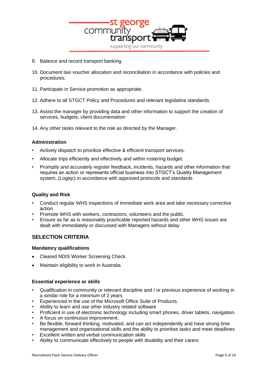

- 9. Balance and record transport banking.
- 10. Document taxi voucher allocation and reconciliation in accordance with policies and procedures.
- 11. Participate in Service promotion as appropriate.
- 12. Adhere to all STGCT Policy and Procedures and relevant legislative standards.
- 13. Assist the manager by providing data and other information to support the creation of services, budgets, client documentation
- 14. Any other tasks relevant to the role as directed by the Manager.

#### **Administration**

- Actively dispatch to prioritize effective & efficient transport services.
- Allocate trips efficiently and effectively and within rostering budget.
- Promptly and accurately register feedback, incidents, hazards and other information that requires an action or represents official business into STGCT's Quality Management system, (Logiqc) in accordance with approved protocols and standards

#### **Quality and Risk**

- Conduct regular WHS inspections of immediate work area and take necessary corrective action
- Promote WHS with workers, contractors, volunteers and the public.
- Ensure as far as is reasonably practicable reported hazards and other WHS issues are dealt with immediately or discussed with Managers without delay

## **SELECTION CRITERIA**

#### **Mandatory qualifications**

- Cleared NDIS Worker Screening Check
- Maintain eligibility to work in Australia

#### **Essential experience or skills**

- Qualification in community or relevant discipline and / or previous experience of working in a similar role for a minimum of 2 years
- Experienced in the use of the Microsoft Office Suite of Products.
- Ability to learn and use other industry related software
- Proficient in use of electronic technology including smart phones, driver tablets, navigation.
- A focus on continuous improvement.
- Be flexible, forward thinking, motivated, and can act independently and have strong time management and organisational skills and the ability to prioritise tasks and meet deadlines
- Excellent written and verbal communication skills
- Ability to communicate effectively to people with disability and their carers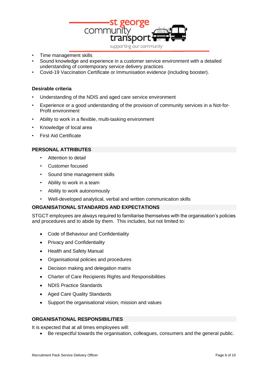

- Time management skills
- Sound knowledge and experience in a customer service environment with a detailed understanding of contemporary service delivery practices
- Covid-19 Vaccination Certificate or Immunisation evidence (including booster).

#### **Desirable criteria**

- Understanding of the NDIS and aged care service environment
- Experience or a good understanding of the provision of community services in a Not-for-Profit environment
- Ability to work in a flexible, multi-tasking environment
- Knowledge of local area
- First Aid Certificate

#### **PERSONAL ATTRIBUTES**

- Attention to detail
- Customer focused
- Sound time management skills
- Ability to work in a team
- Ability to work autonomously
- Well-developed analytical, verbal and written communication skills

## **ORGANISATIONAL STANDARDS AND EXPECTATIONS**

STGCT employees are always required to familiarise themselves with the organisation's policies and procedures and to abide by them. This includes, but not limited to:

- Code of Behaviour and Confidentiality
- Privacy and Confidentiality
- Health and Safety Manual
- Organisational policies and procedures
- Decision making and delegation matrix
- Charter of Care Recipients Rights and Responsibilities
- NDIS Practice Standards
- Aged Care Quality Standards
- Support the organisational vision, mission and values

#### **ORGANISATIONAL RESPONSIBILITIES**

It is expected that at all times employees will:

• Be respectful towards the organisation, colleagues, consumers and the general public.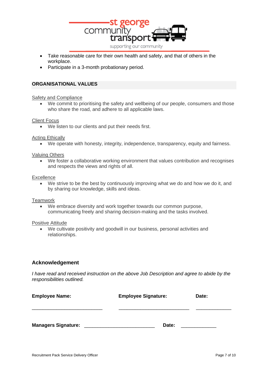

- Take reasonable care for their own health and safety, and that of others in the workplace.
- Participate in a 3-month probationary period.

#### **ORGANISATIONAL VALUES**

#### Safety and Compliance

We commit to prioritising the safety and wellbeing of our people, consumers and those who share the road, and adhere to all applicable laws.

#### Client Focus

• We listen to our clients and put their needs first.

#### Acting Ethically

• We operate with honesty, integrity, independence, transparency, equity and fairness.

#### Valuing Others

• We foster a collaborative working environment that values contribution and recognises and respects the views and rights of all.

#### **Excellence**

• We strive to be the best by continuously improving what we do and how we do it, and by sharing our knowledge, skills and ideas.

#### **Teamwork**

• We embrace diversity and work together towards our common purpose, communicating freely and sharing decision-making and the tasks involved.

#### Positive Attitude

• We cultivate positivity and goodwill in our business, personal activities and relationships.

#### **Acknowledgement**

*I have read and received instruction on the above Job Description and agree to abide by the responsibilities outlined.*

| <b>Employee Name:</b>      | <b>Employee Signature:</b> | Date: |
|----------------------------|----------------------------|-------|
|                            |                            |       |
| <b>Managers Signature:</b> | Date:                      |       |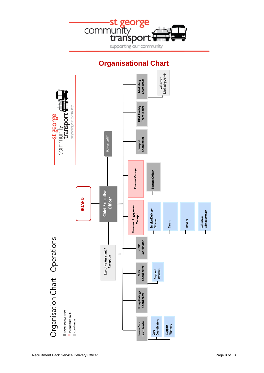

# **Organisational Chart**

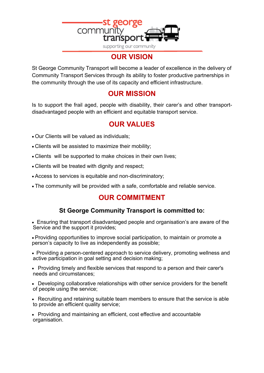

# **OUR VISION**

St George Community Transport will become a leader of excellence in the delivery of Community Transport Services through its ability to foster productive partnerships in the community through the use of its capacity and efficient infrastructure.

# **OUR MISSION**

Is to support the frail aged, people with disability, their carer's and other transportdisadvantaged people with an efficient and equitable transport service.

# **OUR VALUES**

- Our Clients will be valued as individuals;
- Clients will be assisted to maximize their mobility;
- Clients will be supported to make choices in their own lives;
- Clients will be treated with dignity and respect;
- Access to services is equitable and non-discriminatory;
- The community will be provided with a safe, comfortable and reliable service.

## **OUR COMMITMENT**

## **St George Community Transport is committed to:**

- Ensuring that transport disadvantaged people and organisation's are aware of the Service and the support it provides;
- Providing opportunities to improve social participation, to maintain or promote a person's capacity to live as independently as possible;
- Providing a person-centered approach to service delivery, promoting wellness and active participation in goal setting and decision making;
- Providing timely and flexible services that respond to a person and their carer's needs and circumstances;
- Developing collaborative relationships with other service providers for the benefit of people using the service;
- Recruiting and retaining suitable team members to ensure that the service is able to provide an efficient quality service;
- Providing and maintaining an efficient, cost effective and accountable organisation.